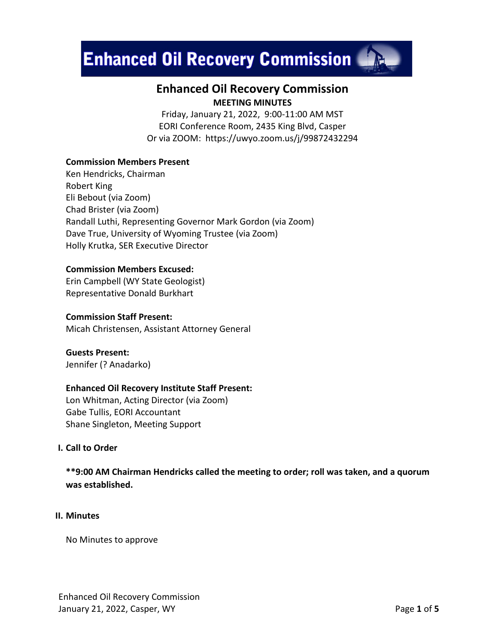# **Enhanced Oil Recovery Commission MALL**



# **Enhanced Oil Recovery Commission MEETING MINUTES**

Friday, January 21, 2022, 9:00-11:00 AM MST EORI Conference Room, 2435 King Blvd, Casper Or via ZOOM: https://uwyo.zoom.us/j/99872432294

# **Commission Members Present**

Ken Hendricks, Chairman Robert King Eli Bebout (via Zoom) Chad Brister (via Zoom) Randall Luthi, Representing Governor Mark Gordon (via Zoom) Dave True, University of Wyoming Trustee (via Zoom) Holly Krutka, SER Executive Director

#### **Commission Members Excused:**

Erin Campbell (WY State Geologist) Representative Donald Burkhart

#### **Commission Staff Present:**

Micah Christensen, Assistant Attorney General

**Guests Present:** Jennifer (? Anadarko)

### **Enhanced Oil Recovery Institute Staff Present:**

Lon Whitman, Acting Director (via Zoom) Gabe Tullis, EORI Accountant Shane Singleton, Meeting Support

## **I. Call to Order**

**\*\*9:00 AM Chairman Hendricks called the meeting to order; roll was taken, and a quorum was established.**

#### **II. Minutes**

No Minutes to approve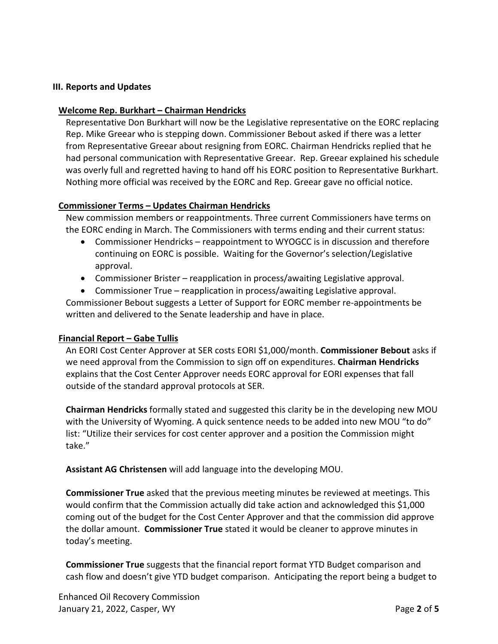### **III. Reports and Updates**

#### **Welcome Rep. Burkhart – Chairman Hendricks**

Representative Don Burkhart will now be the Legislative representative on the EORC replacing Rep. Mike Greear who is stepping down. Commissioner Bebout asked if there was a letter from Representative Greear about resigning from EORC. Chairman Hendricks replied that he had personal communication with Representative Greear. Rep. Greear explained his schedule was overly full and regretted having to hand off his EORC position to Representative Burkhart. Nothing more official was received by the EORC and Rep. Greear gave no official notice.

#### **Commissioner Terms – Updates Chairman Hendricks**

New commission members or reappointments. Three current Commissioners have terms on the EORC ending in March. The Commissioners with terms ending and their current status:

- Commissioner Hendricks reappointment to WYOGCC is in discussion and therefore continuing on EORC is possible. Waiting for the Governor's selection/Legislative approval.
- Commissioner Brister reapplication in process/awaiting Legislative approval.
- Commissioner True reapplication in process/awaiting Legislative approval.

Commissioner Bebout suggests a Letter of Support for EORC member re-appointments be written and delivered to the Senate leadership and have in place.

### **Financial Report – Gabe Tullis**

An EORI Cost Center Approver at SER costs EORI \$1,000/month. **Commissioner Bebout** asks if we need approval from the Commission to sign off on expenditures. **Chairman Hendricks** explains that the Cost Center Approver needs EORC approval for EORI expenses that fall outside of the standard approval protocols at SER.

**Chairman Hendricks** formally stated and suggested this clarity be in the developing new MOU with the University of Wyoming. A quick sentence needs to be added into new MOU "to do" list: "Utilize their services for cost center approver and a position the Commission might take."

**Assistant AG Christensen** will add language into the developing MOU.

**Commissioner True** asked that the previous meeting minutes be reviewed at meetings. This would confirm that the Commission actually did take action and acknowledged this \$1,000 coming out of the budget for the Cost Center Approver and that the commission did approve the dollar amount. **Commissioner True** stated it would be cleaner to approve minutes in today's meeting.

**Commissioner True** suggests that the financial report format YTD Budget comparison and cash flow and doesn't give YTD budget comparison. Anticipating the report being a budget to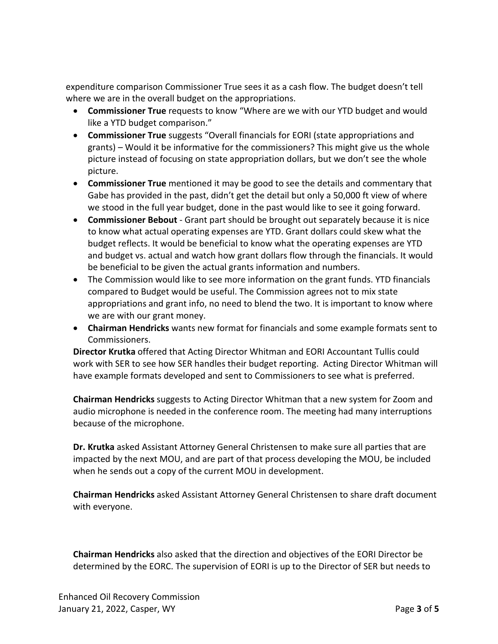expenditure comparison Commissioner True sees it as a cash flow. The budget doesn't tell where we are in the overall budget on the appropriations.

- **Commissioner True** requests to know "Where are we with our YTD budget and would like a YTD budget comparison."
- **Commissioner True** suggests "Overall financials for EORI (state appropriations and grants) – Would it be informative for the commissioners? This might give us the whole picture instead of focusing on state appropriation dollars, but we don't see the whole picture.
- **Commissioner True** mentioned it may be good to see the details and commentary that Gabe has provided in the past, didn't get the detail but only a 50,000 ft view of where we stood in the full year budget, done in the past would like to see it going forward.
- **Commissioner Bebout** Grant part should be brought out separately because it is nice to know what actual operating expenses are YTD. Grant dollars could skew what the budget reflects. It would be beneficial to know what the operating expenses are YTD and budget vs. actual and watch how grant dollars flow through the financials. It would be beneficial to be given the actual grants information and numbers.
- The Commission would like to see more information on the grant funds. YTD financials compared to Budget would be useful. The Commission agrees not to mix state appropriations and grant info, no need to blend the two. It is important to know where we are with our grant money.
- **Chairman Hendricks** wants new format for financials and some example formats sent to Commissioners.

**Director Krutka** offered that Acting Director Whitman and EORI Accountant Tullis could work with SER to see how SER handles their budget reporting. Acting Director Whitman will have example formats developed and sent to Commissioners to see what is preferred.

**Chairman Hendricks** suggests to Acting Director Whitman that a new system for Zoom and audio microphone is needed in the conference room. The meeting had many interruptions because of the microphone.

**Dr. Krutka** asked Assistant Attorney General Christensen to make sure all parties that are impacted by the next MOU, and are part of that process developing the MOU, be included when he sends out a copy of the current MOU in development.

**Chairman Hendricks** asked Assistant Attorney General Christensen to share draft document with everyone.

**Chairman Hendricks** also asked that the direction and objectives of the EORI Director be determined by the EORC. The supervision of EORI is up to the Director of SER but needs to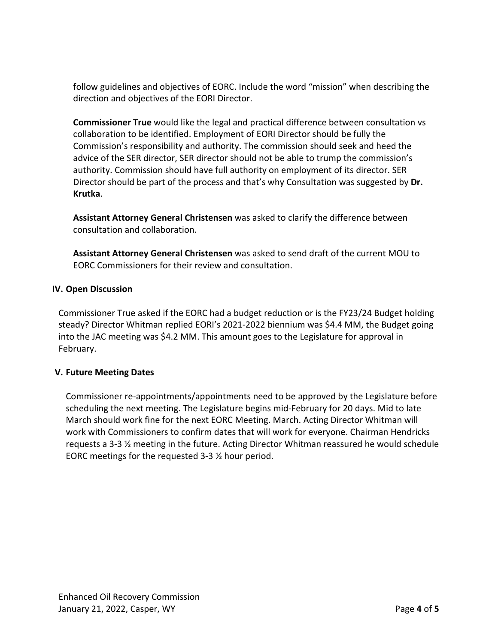follow guidelines and objectives of EORC. Include the word "mission" when describing the direction and objectives of the EORI Director.

**Commissioner True** would like the legal and practical difference between consultation vs collaboration to be identified. Employment of EORI Director should be fully the Commission's responsibility and authority. The commission should seek and heed the advice of the SER director, SER director should not be able to trump the commission's authority. Commission should have full authority on employment of its director. SER Director should be part of the process and that's why Consultation was suggested by **Dr. Krutka**.

**Assistant Attorney General Christensen** was asked to clarify the difference between consultation and collaboration.

**Assistant Attorney General Christensen** was asked to send draft of the current MOU to EORC Commissioners for their review and consultation.

# **IV. Open Discussion**

Commissioner True asked if the EORC had a budget reduction or is the FY23/24 Budget holding steady? Director Whitman replied EORI's 2021-2022 biennium was \$4.4 MM, the Budget going into the JAC meeting was \$4.2 MM. This amount goes to the Legislature for approval in February.

# **V. Future Meeting Dates**

Commissioner re-appointments/appointments need to be approved by the Legislature before scheduling the next meeting. The Legislature begins mid-February for 20 days. Mid to late March should work fine for the next EORC Meeting. March. Acting Director Whitman will work with Commissioners to confirm dates that will work for everyone. Chairman Hendricks requests a 3-3 ½ meeting in the future. Acting Director Whitman reassured he would schedule EORC meetings for the requested 3-3 ½ hour period.